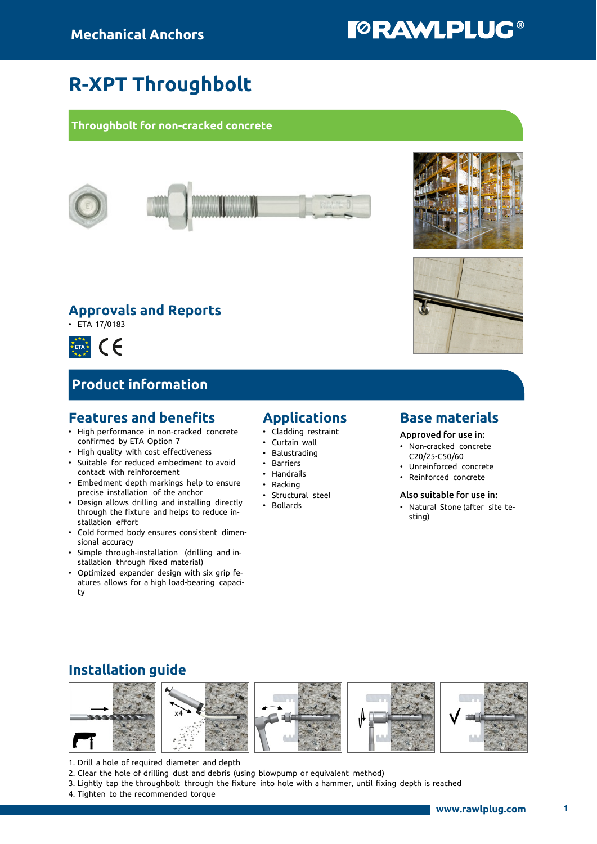# **TORAWLPLUG®**

## R-XPT Throughbolt

#### Throughbolt for non-cracked concrete



### Approvals and Reports

• ETA 17/0183



### Product information

### Features and benefits

- High performance in non-cracked concrete confirmed by ETA Option 7
- High quality with cost effectiveness • Suitable for reduced embedment to avoid
- contact with reinforcement
- Embedment depth markings help to ensure precise installation of the anchor
- Design allows drilling and installing directly through the fixture and helps to reduce installation effort
- Cold formed body ensures consistent dimensional accuracy
- Simple through-installation (drilling and installation through fixed material)
- Optimized expander design with six grip features allows for a high load-bearing capacity

### Applications

- Cladding restraint
- Curtain wall
- Balustrading
- Barriers
- Handrails
- Racking
- Structural steel
- Bollards

#### Base materials

Approved for use in:

- Non-cracked concrete C20/25-C50/60
- Unreinforced concrete
- Reinforced concrete

#### Also suitable for use in:

• Natural Stone (after site testing)

### Installation guide



1. Drill a hole of required diameter and depth

- 2. Clear the hole of drilling dust and debris (using blowpump or equivalent method)
- 3. Lightly tap the throughbolt through the fixture into hole with a hammer, until fixing depth is reached
- 4. Tighten to the recommended torque



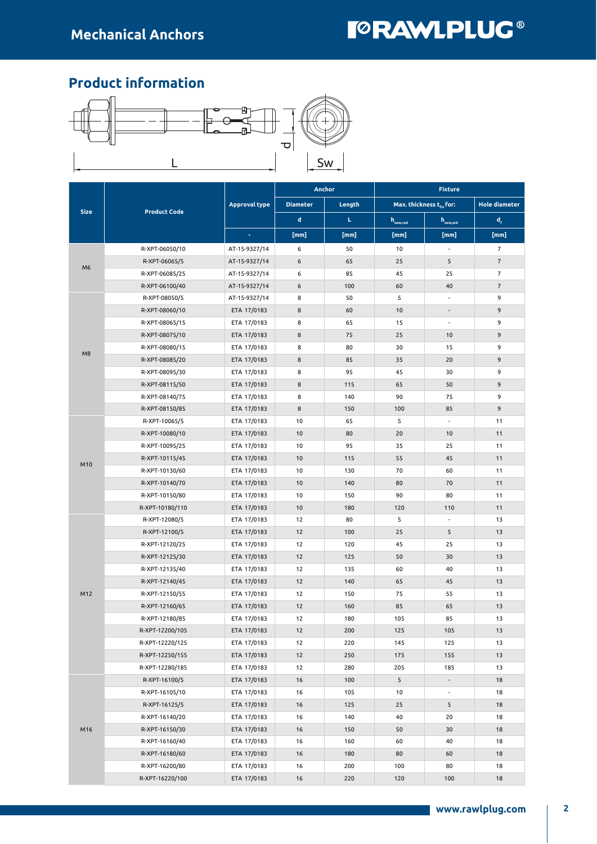# **TORAWLPLUG®**

### Product information



|                |                     |                      |                 | Anchor | <b>Fixture</b>       |                               |                                             |  |
|----------------|---------------------|----------------------|-----------------|--------|----------------------|-------------------------------|---------------------------------------------|--|
|                |                     | <b>Approval type</b> | <b>Diameter</b> | Length |                      | Max. thickness $t_{fix}$ for: | <b>Hole diameter</b>                        |  |
| <b>Size</b>    | <b>Product Code</b> |                      | d               | L.     | $h_{\text{nom,red}}$ | $h_{\text{nom,std}}$          | $\mathsf{d}_{\scriptscriptstyle\mathsf{F}}$ |  |
|                |                     | $\sim$               | [mm]            | [mm]   | [mm]                 | [mm]                          | [mm]                                        |  |
|                | R-XPT-06050/10      | AT-15-9327/14        | 6               | 50     | 10                   | $\overline{\phantom{a}}$      | $\overline{7}$                              |  |
|                | R-XPT-06065/5       | AT-15-9327/14        | 6               | 65     | 25                   | 5                             | $\overline{7}$                              |  |
| M <sub>6</sub> | R-XPT-06085/25      | AT-15-9327/14        | 6               | 85     | 45                   | 25                            | $\overline{7}$                              |  |
|                | R-XPT-06100/40      | AT-15-9327/14        | 6               | 100    | 60                   | 40                            | $\overline{7}$                              |  |
|                | R-XPT-08050/5       | AT-15-9327/14        | 8               | 50     | 5                    | $\overline{\phantom{a}}$      | 9                                           |  |
|                | R-XPT-08060/10      | ETA 17/0183          | 8               | 60     | 10                   | $\overline{a}$                | 9                                           |  |
|                | R-XPT-08065/15      | ETA 17/0183          | 8               | 65     | 15                   | $\overline{\phantom{a}}$      | 9                                           |  |
|                | R-XPT-08075/10      | ETA 17/0183          | 8               | 75     | 25                   | 10                            | 9                                           |  |
| M8             | R-XPT-08080/15      | ETA 17/0183          | 8               | 80     | 30                   | 15                            | 9                                           |  |
|                | R-XPT-08085/20      | ETA 17/0183          | 8               | 85     | 35                   | 20                            | 9                                           |  |
|                | R-XPT-08095/30      | ETA 17/0183          | 8               | 95     | 45                   | 30                            | 9                                           |  |
|                | R-XPT-08115/50      | ETA 17/0183          | 8               | 115    | 65                   | 50                            | 9                                           |  |
|                | R-XPT-08140/75      | ETA 17/0183          | 8               | 140    | 90                   | 75                            | 9                                           |  |
|                | R-XPT-08150/85      | ETA 17/0183          | 8               | 150    | 100                  | 85                            | 9                                           |  |
| M10            | R-XPT-10065/5       | ETA 17/0183          | 10              | 65     | 5                    | $\overline{\phantom{a}}$      | 11                                          |  |
|                | R-XPT-10080/10      | ETA 17/0183          | 10              | 80     | 20                   | 10                            | 11                                          |  |
|                | R-XPT-10095/25      | ETA 17/0183          | 10              | 95     | 35                   | 25                            | 11                                          |  |
|                | R-XPT-10115/45      | ETA 17/0183          | 10              | 115    | 55                   | 45                            | 11                                          |  |
|                | R-XPT-10130/60      | ETA 17/0183          | 10              | 130    | 70                   | 60                            | 11                                          |  |
|                | R-XPT-10140/70      | ETA 17/0183          | 10              | 140    | 80                   | 70                            | 11                                          |  |
|                | R-XPT-10150/80      | ETA 17/0183          | 10              | 150    | 90                   | 80                            | 11                                          |  |
|                | R-XPT-10180/110     | ETA 17/0183          | 10              | 180    | 120                  | 110                           | 11                                          |  |
|                | R-XPT-12080/5       | ETA 17/0183          | 12              | 80     | 5                    | $\overline{\phantom{a}}$      | 13                                          |  |
|                | R-XPT-12100/5       | ETA 17/0183          | 12              | 100    | 25                   | 5                             | 13                                          |  |
|                | R-XPT-12120/25      | ETA 17/0183          | 12              | 120    | 45                   | 25                            | 13                                          |  |
|                | R-XPT-12125/30      | ETA 17/0183          | 12              | 125    | 50                   | 30                            | 13                                          |  |
|                | R-XPT-12135/40      | ETA 17/0183          | 12              | 135    | 60                   | 40                            | 13                                          |  |
|                | R-XPT-12140/45      | ETA 17/0183          | 12              | 140    | 65                   | 45                            | 13                                          |  |
| M12            | R-XPT-12150/55      | ETA 17/0183          | 12              | 150    | 75                   | 55                            | 13                                          |  |
|                | R-XPT-12160/65      | ETA 17/0183          | 12              | 160    | 85                   | 65                            | 13                                          |  |
|                | R-XPT-12180/85      | ETA 17/0183          | 12              | 180    | 105                  | 85                            | 13                                          |  |
|                | R-XPT-12200/105     | ETA 17/0183          | 12              | 200    | 125                  | 105                           | 13                                          |  |
|                | R-XPT-12220/125     | ETA 17/0183          | 12              | 220    | 145                  | 125                           | 13                                          |  |
|                | R-XPT-12250/155     | ETA 17/0183          | $12$            | 250    | 175                  | 155                           | 13                                          |  |
|                | R-XPT-12280/185     | ETA 17/0183          | 12              | 280    | 205                  | 185                           | 13                                          |  |
|                | R-XPT-16100/5       | ETA 17/0183          | 16              | 100    | 5                    | $\overline{\phantom{a}}$      | 18                                          |  |
|                | R-XPT-16105/10      | ETA 17/0183          | 16              | 105    | 10                   | $\overline{\phantom{a}}$      | 18                                          |  |
|                | R-XPT-16125/5       | ETA 17/0183          | 16              | 125    | 25                   | 5                             | 18                                          |  |
|                | R-XPT-16140/20      | ETA 17/0183          | 16              | 140    | 40                   | 20                            | 18                                          |  |
| M16            | R-XPT-16150/30      | ETA 17/0183          | 16              | 150    | 50                   | 30                            | 18                                          |  |
|                | R-XPT-16160/40      | ETA 17/0183          | 16              | 160    | 60                   | 40                            | 18                                          |  |
|                | R-XPT-16180/60      | ETA 17/0183          | 16              | 180    | 80                   | 60                            | 18                                          |  |
|                | R-XPT-16200/80      | ETA 17/0183          | 16              | 200    | 100                  | 80                            | 18                                          |  |
|                | R-XPT-16220/100     | ETA 17/0183          | 16              | 220    | 120                  | 100                           | 18                                          |  |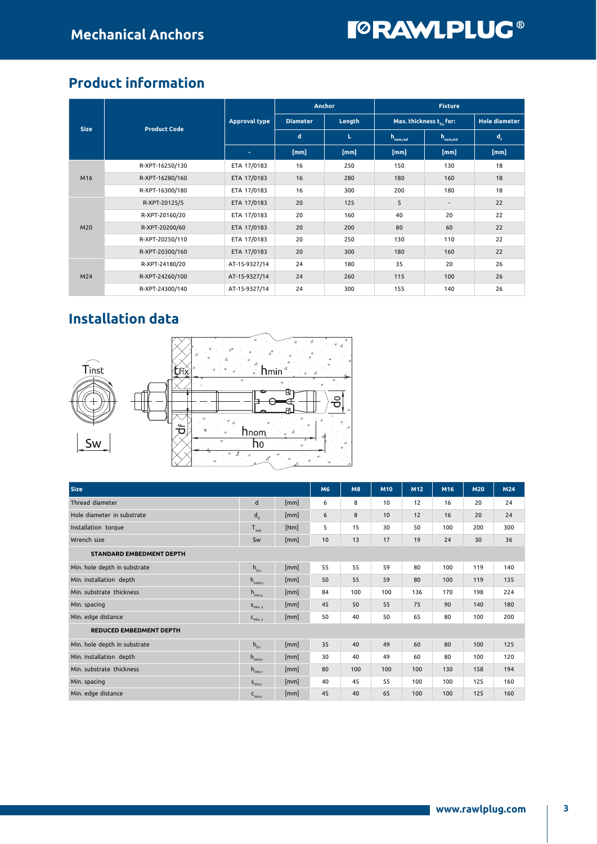### Product information

|             |                     |                      |                 | <b>Anchor</b> | <b>Fixture</b>       |                          |                |  |
|-------------|---------------------|----------------------|-----------------|---------------|----------------------|--------------------------|----------------|--|
|             | <b>Product Code</b> | <b>Approval type</b> | <b>Diameter</b> | Length        |                      | Max. thickness t. for:   |                |  |
| <b>Size</b> |                     |                      | $\mathbf d$     | L.            | $h_{\text{nom.red}}$ | $h_{nom, std}$           | $d_{\epsilon}$ |  |
|             |                     | ÷                    | [mm]            | [mm]          | [mm]                 | [mm]                     | [mm]           |  |
| M16         | R-XPT-16250/130     | ETA 17/0183          | 16              | 250           | 150                  | 130                      | 18             |  |
|             | R-XPT-16280/160     | ETA 17/0183          | 16              | 280           | 180                  | 160                      | 18             |  |
|             | R-XPT-16300/180     | ETA 17/0183          | 16              | 300           | 200                  | 180                      | 18             |  |
|             | R-XPT-20125/5       | ETA 17/0183          | 20              | 125           | 5                    | $\overline{\phantom{a}}$ | 22             |  |
|             | R-XPT-20160/20      | ETA 17/0183          | 20              | 160           | 40                   | 20                       | 22             |  |
| M20         | R-XPT-20200/60      | ETA 17/0183          | 20              | 200           | 80                   | 60                       | 22             |  |
|             | R-XPT-20250/110     | ETA 17/0183          | 20              | 250           | 130                  | 110                      | 22             |  |
|             | R-XPT-20300/160     | ETA 17/0183          | 20              | 300           | 180                  | 160                      | 22             |  |
| M24         | R-XPT-24180/20      | AT-15-9327/14        | 24              | 180           | 35                   | 20                       | 26             |  |
|             | R-XPT-24260/100     | AT-15-9327/14        | 24              | 260           | 115                  | 100                      | 26             |  |
|             | R-XPT-24300/140     | AT-15-9327/14        | 24              | 300           | 155                  | 140                      | 26             |  |

### Installation data



| <b>Size</b>                     |                     |      | M <sub>6</sub> | <b>M8</b> | M10 | M12 | M16 | <b>M20</b> | M24 |  |
|---------------------------------|---------------------|------|----------------|-----------|-----|-----|-----|------------|-----|--|
| Thread diameter                 | d                   | [mm] | 6              | 8         | 10  | 12  | 16  | 20         | 24  |  |
| Hole diameter in substrate      | $d_{0}$             | [mm] | 6              | 8         | 10  | 12  | 16  | 20         | 24  |  |
| Installation torque             | $T_{inst}$          | [Nm] | 5              | 15        | 30  | 50  | 100 | 200        | 300 |  |
| Wrench size                     | Sw                  | [mm] | 10             | 13        | 17  | 19  | 24  | 30         | 36  |  |
| <b>STANDARD EMBEDMENT DEPTH</b> |                     |      |                |           |     |     |     |            |     |  |
| Min. hole depth in substrate    | $h_{0s}$            | [mm] | 55             | 55        | 59  | 80  | 100 | 119        | 140 |  |
| Min. installation depth         | $h_{\text{nom,s}}$  | [mm] | 50             | 55        | 59  | 80  | 100 | 119        | 135 |  |
| Min. substrate thickness        | $h_{\text{min.s}}$  | [mm] | 84             | 100       | 100 | 136 | 170 | 198        | 224 |  |
| Min. spacing                    | $S_{min, s}$        | [mm] | 45             | 50        | 55  | 75  | 90  | 140        | 180 |  |
| Min. edge distance              | $C_{\text{min, s}}$ | [mm] | 50             | 40        | 50  | 65  | 80  | 100        | 200 |  |
| <b>REDUCED EMBEDMENT DEPTH</b>  |                     |      |                |           |     |     |     |            |     |  |
| Min. hole depth in substrate    | $h_{0,r}$           | [mm] | 35             | 40        | 49  | 60  | 80  | 100        | 125 |  |
| Min. installation depth         | $h_{\text{nom,r}}$  | [mm] | 30             | 40        | 49  | 60  | 80  | 100        | 120 |  |
| Min. substrate thickness        | $h_{min,r}$         | [mm] | 80             | 100       | 100 | 100 | 130 | 158        | 194 |  |
| Min. spacing                    | $S_{min.r}$         | [mm] | 40             | 45        | 55  | 100 | 100 | 125        | 160 |  |
| Min. edge distance              | $C_{min,r}$         | [mm] | 45             | 40        | 65  | 100 | 100 | 125        | 160 |  |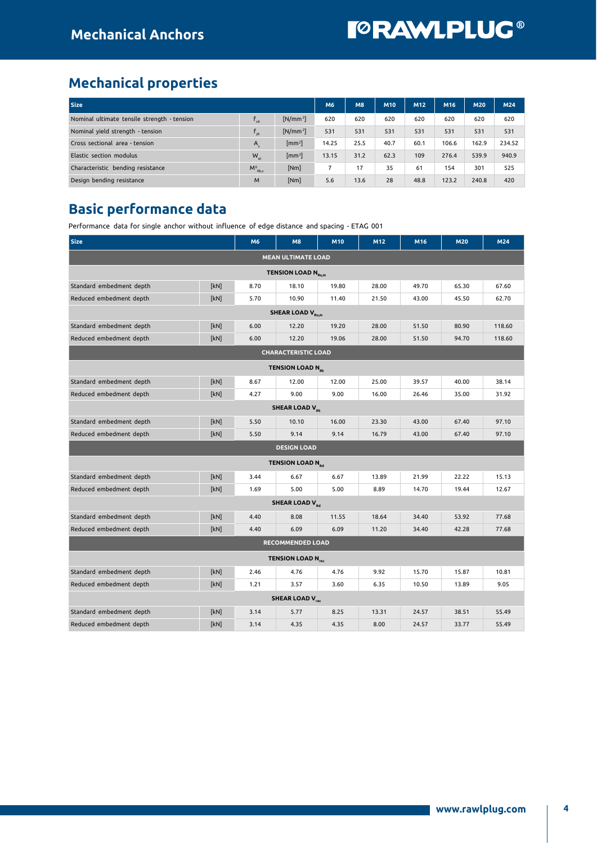### Mechanical properties

| <b>Size</b>                                 | M6                       | <b>M8</b>                  | <b>M10</b> | M12  | M <sub>16</sub> | M20  | M24   |       |        |
|---------------------------------------------|--------------------------|----------------------------|------------|------|-----------------|------|-------|-------|--------|
| Nominal ultimate tensile strength - tension | $\mathbf{L}_{\text{u}k}$ | $[N/mm^2]$                 | 620        | 620  | 620             | 620  | 620   | 620   | 620    |
| Nominal yield strength - tension            | $f_{\rm vk}$             | $[N/mm^2]$                 | 531        | 531  | 531             | 531  | 531   | 531   | 531    |
| Cross sectional area - tension              | $A_{\epsilon}$           | $\text{[mm}^2$             | 14.25      | 25.5 | 40.7            | 60.1 | 106.6 | 162.9 | 234.52 |
| Elastic section modulus                     | $W_{\rm el}$             | $\left[\text{mm}^3\right]$ | 13.15      | 31.2 | 62.3            | 109  | 276.4 | 539.9 | 940.9  |
| Characteristic bending resistance           | $M^0_{Rk,s}$             | [Nm]                       |            | 17   | 35              | 61   | 154   | 301   | 525    |
| Design bending resistance                   | M                        | [Nm]                       | 5.6        | 13.6 | 28              | 48.8 | 123.2 | 240.8 | 420    |

### Basic performance data

Performance data for single anchor without influence of edge distance and spacing - ETAG 001

| <b>Size</b>                          |      | M6   | M8                                  | M10   | M12   | M16   | M20   | M24    |  |  |  |  |
|--------------------------------------|------|------|-------------------------------------|-------|-------|-------|-------|--------|--|--|--|--|
| <b>MEAN ULTIMATE LOAD</b>            |      |      |                                     |       |       |       |       |        |  |  |  |  |
| <b>TENSION LOAD N<sub>Ru,m</sub></b> |      |      |                                     |       |       |       |       |        |  |  |  |  |
| Standard embedment depth             | [kN] | 8.70 | 18.10                               | 19.80 | 28.00 | 49.70 | 65.30 | 67.60  |  |  |  |  |
| Reduced embedment depth              | [kN] | 5.70 | 10.90                               | 11.40 | 21.50 | 43.00 | 45.50 | 62.70  |  |  |  |  |
| <b>SHEAR LOAD V<sub>Rum</sub></b>    |      |      |                                     |       |       |       |       |        |  |  |  |  |
| Standard embedment depth             | [kN] | 6.00 | 12.20                               | 19.20 | 28.00 | 51.50 | 80.90 | 118.60 |  |  |  |  |
| Reduced embedment depth              | [kN] | 6.00 | 12.20                               | 19.06 | 28.00 | 51.50 | 94.70 | 118.60 |  |  |  |  |
| <b>CHARACTERISTIC LOAD</b>           |      |      |                                     |       |       |       |       |        |  |  |  |  |
| <b>TENSION LOAD N<sub>Rk</sub></b>   |      |      |                                     |       |       |       |       |        |  |  |  |  |
| Standard embedment depth             | [kN] | 8.67 | 12.00                               | 12.00 | 25.00 | 39.57 | 40.00 | 38.14  |  |  |  |  |
| Reduced embedment depth              | [kN] | 4.27 | 9.00                                | 9.00  | 16.00 | 26.46 | 35.00 | 31.92  |  |  |  |  |
| <b>SHEAR LOAD V<sub>pk</sub></b>     |      |      |                                     |       |       |       |       |        |  |  |  |  |
| Standard embedment depth             | [kN] | 5.50 | 10.10                               | 16.00 | 23.30 | 43.00 | 67.40 | 97.10  |  |  |  |  |
| Reduced embedment depth              | [kN] | 5.50 | 9.14                                | 9.14  | 16.79 | 43.00 | 67.40 | 97.10  |  |  |  |  |
| <b>DESIGN LOAD</b>                   |      |      |                                     |       |       |       |       |        |  |  |  |  |
|                                      |      |      | <b>TENSION LOAD N<sub>pd</sub></b>  |       |       |       |       |        |  |  |  |  |
| Standard embedment depth             | [kN] | 3.44 | 6.67                                | 6.67  | 13.89 | 21.99 | 22.22 | 15.13  |  |  |  |  |
| Reduced embedment depth              | [kN] | 1.69 | 5.00                                | 5.00  | 8.89  | 14.70 | 19.44 | 12.67  |  |  |  |  |
|                                      |      |      | <b>SHEAR LOAD V<sub>Rd</sub></b>    |       |       |       |       |        |  |  |  |  |
| Standard embedment depth             | [kN] | 4.40 | 8.08                                | 11.55 | 18.64 | 34.40 | 53.92 | 77.68  |  |  |  |  |
| Reduced embedment depth              | [kN] | 4.40 | 6.09                                | 6.09  | 11.20 | 34.40 | 42.28 | 77.68  |  |  |  |  |
|                                      |      |      | <b>RECOMMENDED LOAD</b>             |       |       |       |       |        |  |  |  |  |
|                                      |      |      | <b>TENSION LOAD N<sub>rec</sub></b> |       |       |       |       |        |  |  |  |  |
| Standard embedment depth             | [kN] | 2.46 | 4.76                                | 4.76  | 9.92  | 15.70 | 15.87 | 10.81  |  |  |  |  |
| Reduced embedment depth              | [kN] | 1.21 | 3.57                                | 3.60  | 6.35  | 10.50 | 13.89 | 9.05   |  |  |  |  |
|                                      |      |      | <b>SHEAR LOAD V<sub>rec</sub></b>   |       |       |       |       |        |  |  |  |  |
| Standard embedment depth             | [kN] | 3.14 | 5.77                                | 8.25  | 13.31 | 24.57 | 38.51 | 55.49  |  |  |  |  |
| Reduced embedment depth              | [kN] | 3.14 | 4.35                                | 4.35  | 8.00  | 24.57 | 33.77 | 55.49  |  |  |  |  |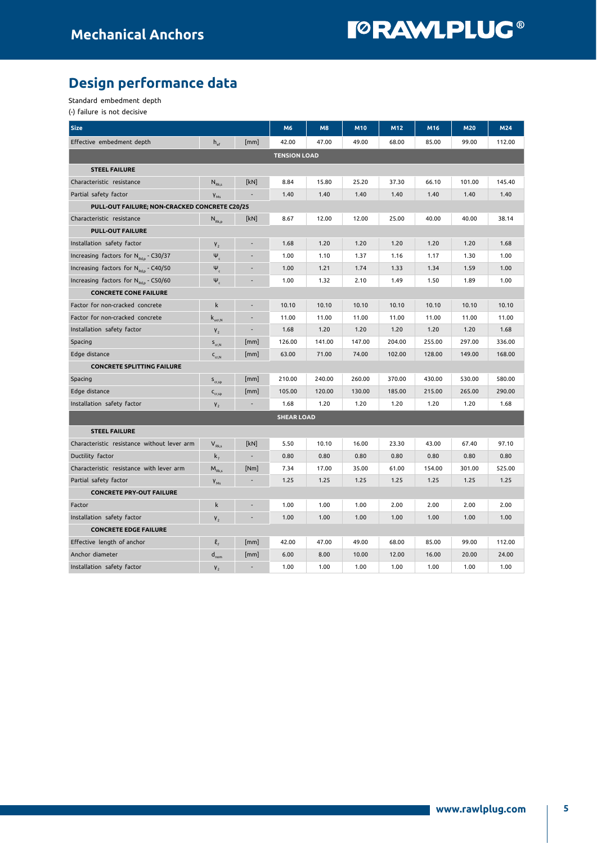### Design performance data

Standard embedment depth

(-) failure is not decisive

| <b>Size</b>                                       |                                       |                          | M6                | M8     | M10    | M12    | M16    | M20    | M24    |  |  |
|---------------------------------------------------|---------------------------------------|--------------------------|-------------------|--------|--------|--------|--------|--------|--------|--|--|
| Effective embedment depth                         | $h_{\text{ef}}$                       | [mm]                     | 42.00             | 47.00  | 49.00  | 68.00  | 85.00  | 99.00  | 112.00 |  |  |
| <b>TENSION LOAD</b>                               |                                       |                          |                   |        |        |        |        |        |        |  |  |
| <b>STEEL FAILURE</b>                              |                                       |                          |                   |        |        |        |        |        |        |  |  |
| Characteristic resistance                         | $N_{Rk,s}$                            | [kN]                     | 8.84              | 15.80  | 25.20  | 37.30  | 66.10  | 101.00 | 145.40 |  |  |
| Partial safety factor                             | $V_{Ms}$                              |                          | 1.40              | 1.40   | 1.40   | 1.40   | 1.40   | 1.40   | 1.40   |  |  |
| PULL-OUT FAILURE; NON-CRACKED CONCRETE C20/25     |                                       |                          |                   |        |        |        |        |        |        |  |  |
| Characteristic resistance                         | $N_{Rk,p}$                            | [kN]                     | 8.67              | 12.00  | 12.00  | 25.00  | 40.00  | 40.00  | 38.14  |  |  |
| <b>PULL-OUT FAILURE</b>                           |                                       |                          |                   |        |        |        |        |        |        |  |  |
| Installation safety factor                        | V <sub>2</sub>                        |                          | 1.68              | 1.20   | 1.20   | 1.20   | 1.20   | 1.20   | 1.68   |  |  |
| Increasing factors for N <sub>Rdn</sub> - C30/37  | $\Psi_c$                              |                          | 1.00              | 1.10   | 1.37   | 1.16   | 1.17   | 1.30   | 1.00   |  |  |
| Increasing factors for N <sub>Rdp</sub> - C40/50  | $\Psi_{\rm c}$                        |                          | 1.00              | 1.21   | 1.74   | 1.33   | 1.34   | 1.59   | 1.00   |  |  |
| Increasing factors for N <sub>Rd,p</sub> - C50/60 | $\Psi_c$                              |                          | 1.00              | 1.32   | 2.10   | 1.49   | 1.50   | 1.89   | 1.00   |  |  |
| <b>CONCRETE CONE FAILURE</b>                      |                                       |                          |                   |        |        |        |        |        |        |  |  |
| Factor for non-cracked concrete                   | k                                     |                          | 10.10             | 10.10  | 10.10  | 10.10  | 10.10  | 10.10  | 10.10  |  |  |
| Factor for non-cracked concrete                   | $\mathsf{k}_{_{\sf{ucr},\sf{N}}}$     |                          | 11.00             | 11.00  | 11.00  | 11.00  | 11.00  | 11.00  | 11.00  |  |  |
| Installation safety factor                        | $V_{2}$                               | $\overline{\phantom{a}}$ | 1.68              | 1.20   | 1.20   | 1.20   | 1.20   | 1.20   | 1.68   |  |  |
| Spacing                                           | $S_{cr,N}$                            | [mm]                     | 126.00            | 141.00 | 147.00 | 204.00 | 255.00 | 297.00 | 336.00 |  |  |
| Edge distance                                     | $C_{cr,N}$                            | [mm]                     | 63.00             | 71.00  | 74.00  | 102.00 | 128.00 | 149.00 | 168.00 |  |  |
| <b>CONCRETE SPLITTING FAILURE</b>                 |                                       |                          |                   |        |        |        |        |        |        |  |  |
| Spacing                                           | $S_{cr,SD}$                           | [mm]                     | 210.00            | 240.00 | 260.00 | 370.00 | 430.00 | 530.00 | 580.00 |  |  |
| Edge distance                                     | $\mathsf{C}_{\mathrm{cr,sp}}$         | [mm]                     | 105.00            | 120.00 | 130.00 | 185.00 | 215.00 | 265.00 | 290.00 |  |  |
| Installation safety factor                        | V <sub>2</sub>                        |                          | 1.68              | 1.20   | 1.20   | 1.20   | 1.20   | 1.20   | 1.68   |  |  |
|                                                   |                                       |                          | <b>SHEAR LOAD</b> |        |        |        |        |        |        |  |  |
| <b>STEEL FAILURE</b>                              |                                       |                          |                   |        |        |        |        |        |        |  |  |
| Characteristic resistance without lever arm       | $V_{Rk,s}$                            | [kN]                     | 5.50              | 10.10  | 16.00  | 23.30  | 43.00  | 67.40  | 97.10  |  |  |
| Ductility factor                                  | $k_{7}$                               | $\overline{\phantom{a}}$ | 0.80              | 0.80   | 0.80   | 0.80   | 0.80   | 0.80   | 0.80   |  |  |
| Characteristic resistance with lever arm          | $\mathsf{M}_{\textrm{Rk},\mathsf{s}}$ | [Nm]                     | 7.34              | 17.00  | 35.00  | 61.00  | 154.00 | 301.00 | 525.00 |  |  |
| Partial safety factor                             | $V_{Ms}$                              |                          | 1.25              | 1.25   | 1.25   | 1.25   | 1.25   | 1.25   | 1.25   |  |  |
| <b>CONCRETE PRY-OUT FAILURE</b>                   |                                       |                          |                   |        |        |        |        |        |        |  |  |
| Factor                                            | k                                     |                          | 1.00              | 1.00   | 1.00   | 2.00   | 2.00   | 2.00   | 2.00   |  |  |
| Installation safety factor                        | V <sub>2</sub>                        |                          | 1.00              | 1.00   | 1.00   | 1.00   | 1.00   | 1.00   | 1.00   |  |  |
| <b>CONCRETE EDGE FAILURE</b>                      |                                       |                          |                   |        |        |        |        |        |        |  |  |
| Effective length of anchor                        | $\ell_{\kappa}$                       | [mm]                     | 42.00             | 47.00  | 49.00  | 68.00  | 85.00  | 99.00  | 112.00 |  |  |
| Anchor diameter                                   | $d_{nom}$                             | [mm]                     | 6.00              | 8.00   | 10.00  | 12.00  | 16.00  | 20.00  | 24.00  |  |  |
| Installation safety factor                        | V <sub>2</sub>                        |                          | 1.00              | 1.00   | 1.00   | 1.00   | 1.00   | 1.00   | 1.00   |  |  |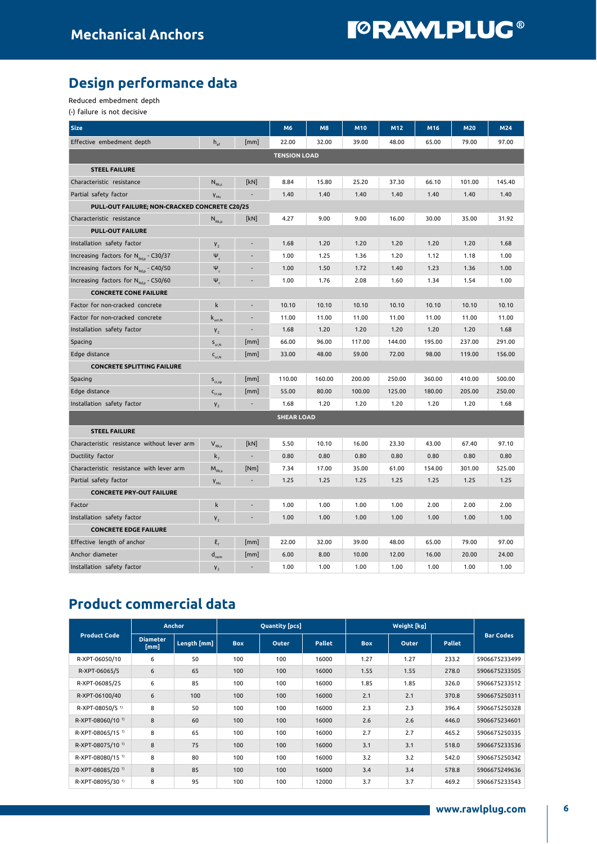### Design performance data

Reduced embedment depth

(-) failure is not decisive

| <b>Size</b>                                       |                                                            |                          |                   |        |        | M12    | M16    | M20    | M24    |  |  |
|---------------------------------------------------|------------------------------------------------------------|--------------------------|-------------------|--------|--------|--------|--------|--------|--------|--|--|
| Effective embedment depth                         | $h_{\rm ef}$                                               | [mm]                     | 22.00             | 32.00  | 39.00  | 48.00  | 65.00  | 79.00  | 97.00  |  |  |
| <b>TENSION LOAD</b>                               |                                                            |                          |                   |        |        |        |        |        |        |  |  |
| <b>STEEL FAILURE</b>                              |                                                            |                          |                   |        |        |        |        |        |        |  |  |
| Characteristic resistance                         | $\mathsf{N}_{\scriptscriptstyle\mathrm{Rk},\mathsf{s}}$    | [kN]                     | 8.84              | 15.80  | 25.20  | 37.30  | 66.10  | 101.00 | 145.40 |  |  |
| Partial safety factor                             | $V_{Ms}$                                                   |                          | 1.40              | 1.40   | 1.40   | 1.40   | 1.40   | 1.40   | 1.40   |  |  |
| PULL-OUT FAILURE; NON-CRACKED CONCRETE C20/25     |                                                            |                          |                   |        |        |        |        |        |        |  |  |
| Characteristic resistance                         | $N_{Rk,p}$                                                 | [kN]                     | 4.27              | 9.00   | 9.00   | 16.00  | 30.00  | 35.00  | 31.92  |  |  |
| <b>PULL-OUT FAILURE</b>                           |                                                            |                          |                   |        |        |        |        |        |        |  |  |
| Installation safety factor                        | V <sub>2</sub>                                             |                          | 1.68              | 1.20   | 1.20   | 1.20   | 1.20   | 1.20   | 1.68   |  |  |
| Increasing factors for N <sub>Rdn</sub> - C30/37  | $\Psi_c$                                                   |                          | 1.00              | 1.25   | 1.36   | 1.20   | 1.12   | 1.18   | 1.00   |  |  |
| Increasing factors for N <sub>Rd,p</sub> - C40/50 | $\Psi_c$                                                   |                          | 1.00              | 1.50   | 1.72   | 1.40   | 1.23   | 1.36   | 1.00   |  |  |
| Increasing factors for N <sub>Rd.p</sub> - C50/60 | $\Psi_c$                                                   |                          | 1.00              | 1.76   | 2.08   | 1.60   | 1.34   | 1.54   | 1.00   |  |  |
| <b>CONCRETE CONE FAILURE</b>                      |                                                            |                          |                   |        |        |        |        |        |        |  |  |
| Factor for non-cracked concrete                   | $\mathsf k$                                                |                          | 10.10             | 10.10  | 10.10  | 10.10  | 10.10  | 10.10  | 10.10  |  |  |
| Factor for non-cracked concrete                   | $\mathsf{k}_{\scriptscriptstyle{\mathsf{ucr},\mathsf{N}}}$ |                          | 11.00             | 11.00  | 11.00  | 11.00  | 11.00  | 11.00  | 11.00  |  |  |
| Installation safety factor                        | V <sub>2</sub>                                             |                          | 1.68              | 1.20   | 1.20   | 1.20   | 1.20   | 1.20   | 1.68   |  |  |
| Spacing                                           | $S_{cr,N}$                                                 | [mm]                     | 66.00             | 96.00  | 117.00 | 144.00 | 195.00 | 237.00 | 291.00 |  |  |
| Edge distance                                     | $C_{cr,N}$                                                 | [mm]                     | 33.00             | 48.00  | 59.00  | 72.00  | 98.00  | 119.00 | 156.00 |  |  |
| <b>CONCRETE SPLITTING FAILURE</b>                 |                                                            |                          |                   |        |        |        |        |        |        |  |  |
| Spacing                                           | $S_{cr,sp}$                                                | [mm]                     | 110.00            | 160.00 | 200.00 | 250.00 | 360.00 | 410.00 | 500.00 |  |  |
| Edge distance                                     | $\mathsf{C}_{\operatorname{cr,sp}}$                        | [mm]                     | 55.00             | 80.00  | 100.00 | 125.00 | 180.00 | 205.00 | 250.00 |  |  |
| Installation safety factor                        | $V_{2}$                                                    |                          | 1.68              | 1.20   | 1.20   | 1.20   | 1.20   | 1.20   | 1.68   |  |  |
|                                                   |                                                            |                          | <b>SHEAR LOAD</b> |        |        |        |        |        |        |  |  |
| <b>STEEL FAILURE</b>                              |                                                            |                          |                   |        |        |        |        |        |        |  |  |
| Characteristic resistance without lever arm       | $V_{Rk,s}$                                                 | [kN]                     | 5.50              | 10.10  | 16.00  | 23.30  | 43.00  | 67.40  | 97.10  |  |  |
| Ductility factor                                  | $k_{7}$                                                    | $\overline{\phantom{a}}$ | 0.80              | 0.80   | 0.80   | 0.80   | 0.80   | 0.80   | 0.80   |  |  |
| Characteristic resistance with lever arm          | $M_{Rk,s}$                                                 | [Nm]                     | 7.34              | 17.00  | 35.00  | 61.00  | 154.00 | 301.00 | 525.00 |  |  |
| Partial safety factor                             | $V_{MS}$                                                   |                          | 1.25              | 1.25   | 1.25   | 1.25   | 1.25   | 1.25   | 1.25   |  |  |
| <b>CONCRETE PRY-OUT FAILURE</b>                   |                                                            |                          |                   |        |        |        |        |        |        |  |  |
| Factor                                            | k                                                          |                          | 1.00              | 1.00   | 1.00   | 1.00   | 2.00   | 2.00   | 2.00   |  |  |
| Installation safety factor                        | $V_{2}$                                                    |                          | 1.00              | 1.00   | 1.00   | 1.00   | 1.00   | 1.00   | 1.00   |  |  |
| <b>CONCRETE EDGE FAILURE</b>                      |                                                            |                          |                   |        |        |        |        |        |        |  |  |
| Effective length of anchor                        | l,                                                         | [mm]                     | 22.00             | 32.00  | 39.00  | 48.00  | 65.00  | 79.00  | 97.00  |  |  |
| Anchor diameter                                   | $\mathsf{d}_{\mathsf{nom}}$                                | [mm]                     | 6.00              | 8.00   | 10.00  | 12.00  | 16.00  | 20.00  | 24.00  |  |  |
| Installation safety factor                        | V <sub>2</sub>                                             | ٠                        | 1.00              | 1.00   | 1.00   | 1.00   | 1.00   | 1.00   | 1.00   |  |  |

### Product commercial data

| <b>Product Code</b>          | <b>Anchor</b>           |             |            | <b>Quantity [pcs]</b> |               |            |       |               |                  |
|------------------------------|-------------------------|-------------|------------|-----------------------|---------------|------------|-------|---------------|------------------|
|                              | <b>Diameter</b><br>[mm] | Length [mm] | <b>Box</b> | Outer                 | <b>Pallet</b> | <b>Box</b> | Outer | <b>Pallet</b> | <b>Bar Codes</b> |
| R-XPT-06050/10               | 6                       | 50          | 100        | 100                   | 16000         | 1.27       | 1.27  | 233.2         | 5906675233499    |
| R-XPT-06065/5                | 6                       | 65          | 100        | 100                   | 16000         | 1.55       | 1.55  | 278.0         | 5906675233505    |
| R-XPT-06085/25               | 6                       | 85          | 100        | 100                   | 16000         | 1.85       | 1.85  | 326.0         | 5906675233512    |
| R-XPT-06100/40               | 6                       | 100         | 100        | 100                   | 16000         | 2.1        | 2.1   | 370.8         | 5906675250311    |
| R-XPT-08050/5 <sup>1)</sup>  | 8                       | 50          | 100        | 100                   | 16000         | 2.3        | 2.3   | 396.4         | 5906675250328    |
| R-XPT-08060/10 <sup>1)</sup> | 8                       | 60          | 100        | 100                   | 16000         | 2.6        | 2.6   | 446.0         | 5906675234601    |
| R-XPT-08065/15 <sup>1)</sup> | 8                       | 65          | 100        | 100                   | 16000         | 2.7        | 2.7   | 465.2         | 5906675250335    |
| R-XPT-08075/10 <sup>1)</sup> | 8                       | 75          | 100        | 100                   | 16000         | 3.1        | 3.1   | 518.0         | 5906675233536    |
| R-XPT-08080/15 <sup>1)</sup> | 8                       | 80          | 100        | 100                   | 16000         | 3.2        | 3.2   | 542.0         | 5906675250342    |
| R-XPT-08085/20 <sup>1)</sup> | 8                       | 85          | 100        | 100                   | 16000         | 3.4        | 3.4   | 578.8         | 5906675249636    |
| R-XPT-08095/30 <sup>1)</sup> | 8                       | 95          | 100        | 100                   | 12000         | 3.7        | 3.7   | 469.2         | 5906675233543    |